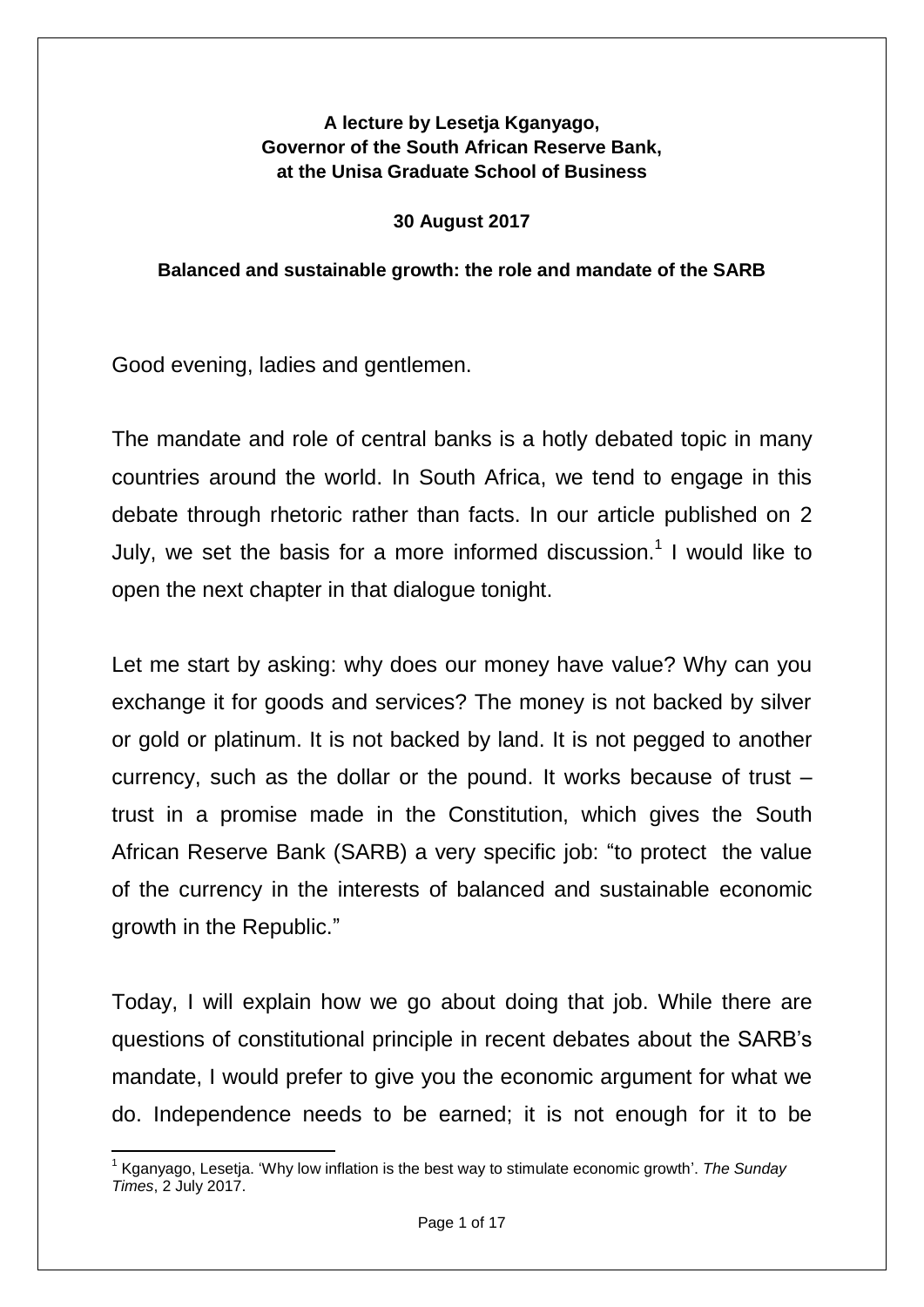## **A lecture by Lesetja Kganyago, Governor of the South African Reserve Bank, at the Unisa Graduate School of Business**

### **30 August 2017**

### **Balanced and sustainable growth: the role and mandate of the SARB**

Good evening, ladies and gentlemen.

The mandate and role of central banks is a hotly debated topic in many countries around the world. In South Africa, we tend to engage in this debate through rhetoric rather than facts. In our article published on 2 July, we set the basis for a more informed discussion.<sup>1</sup> I would like to open the next chapter in that dialogue tonight.

Let me start by asking: why does our money have value? Why can you exchange it for goods and services? The money is not backed by silver or gold or platinum. It is not backed by land. It is not pegged to another currency, such as the dollar or the pound. It works because of trust – trust in a promise made in the Constitution, which gives the South African Reserve Bank (SARB) a very specific job: "to protect the value of the currency in the interests of balanced and sustainable economic growth in the Republic."

Today, I will explain how we go about doing that job. While there are questions of constitutional principle in recent debates about the SARB"s mandate, I would prefer to give you the economic argument for what we do. Independence needs to be earned; it is not enough for it to be

**<sup>.</sup>** <sup>1</sup> Kganyago, Lesetja. 'Why low inflation is the best way to stimulate economic growth'. The Sunday *Times*, 2 July 2017.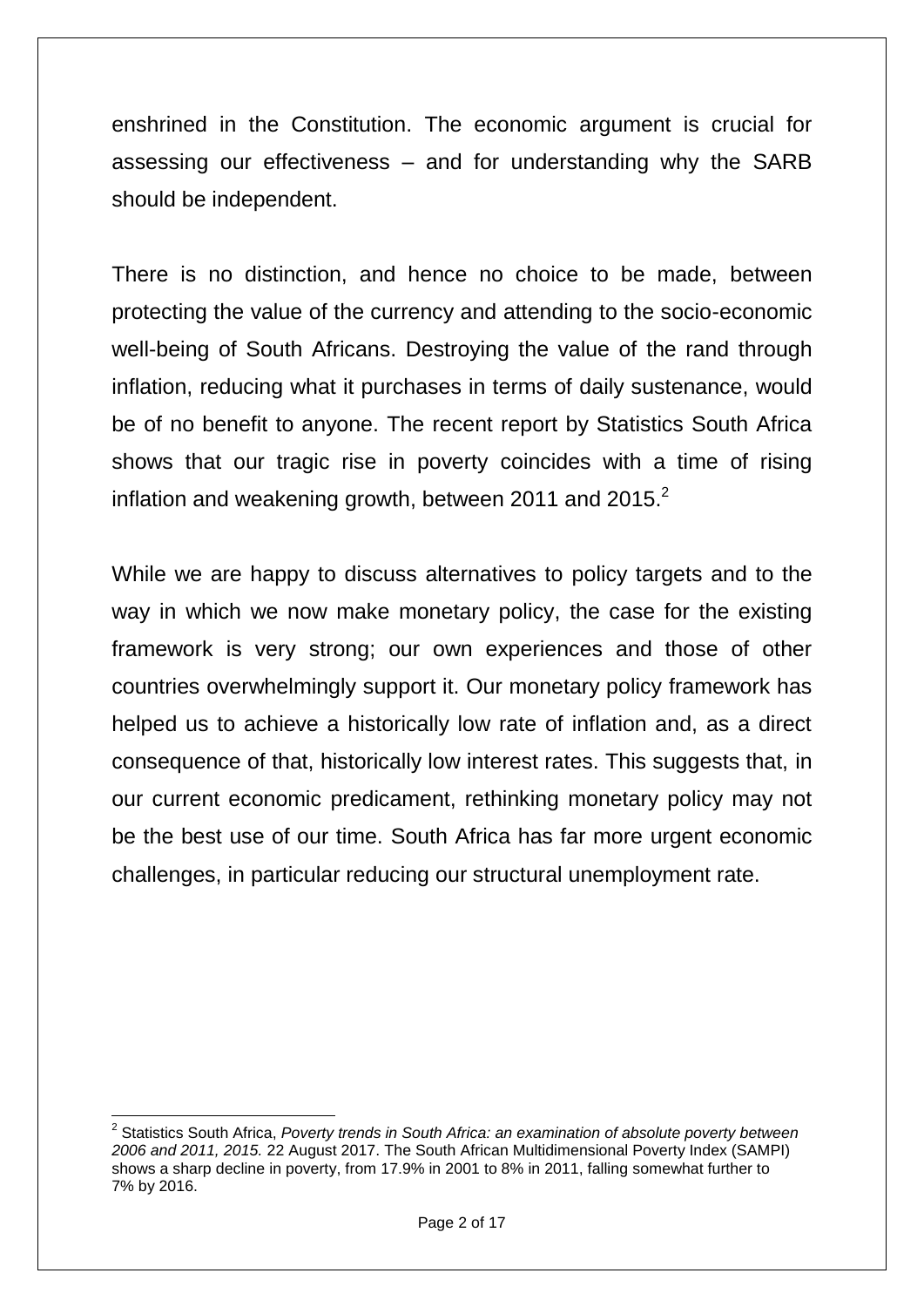enshrined in the Constitution. The economic argument is crucial for assessing our effectiveness – and for understanding why the SARB should be independent.

There is no distinction, and hence no choice to be made, between protecting the value of the currency and attending to the socio-economic well-being of South Africans. Destroying the value of the rand through inflation, reducing what it purchases in terms of daily sustenance, would be of no benefit to anyone. The recent report by Statistics South Africa shows that our tragic rise in poverty coincides with a time of rising inflation and weakening growth, between 2011 and 2015. $^2$ 

While we are happy to discuss alternatives to policy targets and to the way in which we now make monetary policy, the case for the existing framework is very strong; our own experiences and those of other countries overwhelmingly support it. Our monetary policy framework has helped us to achieve a historically low rate of inflation and, as a direct consequence of that, historically low interest rates. This suggests that, in our current economic predicament, rethinking monetary policy may not be the best use of our time. South Africa has far more urgent economic challenges, in particular reducing our structural unemployment rate.

**.** 

<sup>&</sup>lt;sup>2</sup> Statistics South Africa, *Poverty trends in South Africa: an examination of absolute poverty between 2006 and 2011, 2015.* 22 August 2017. The South African Multidimensional Poverty Index (SAMPI) shows a sharp decline in poverty, from 17.9% in 2001 to 8% in 2011, falling somewhat further to 7% by 2016.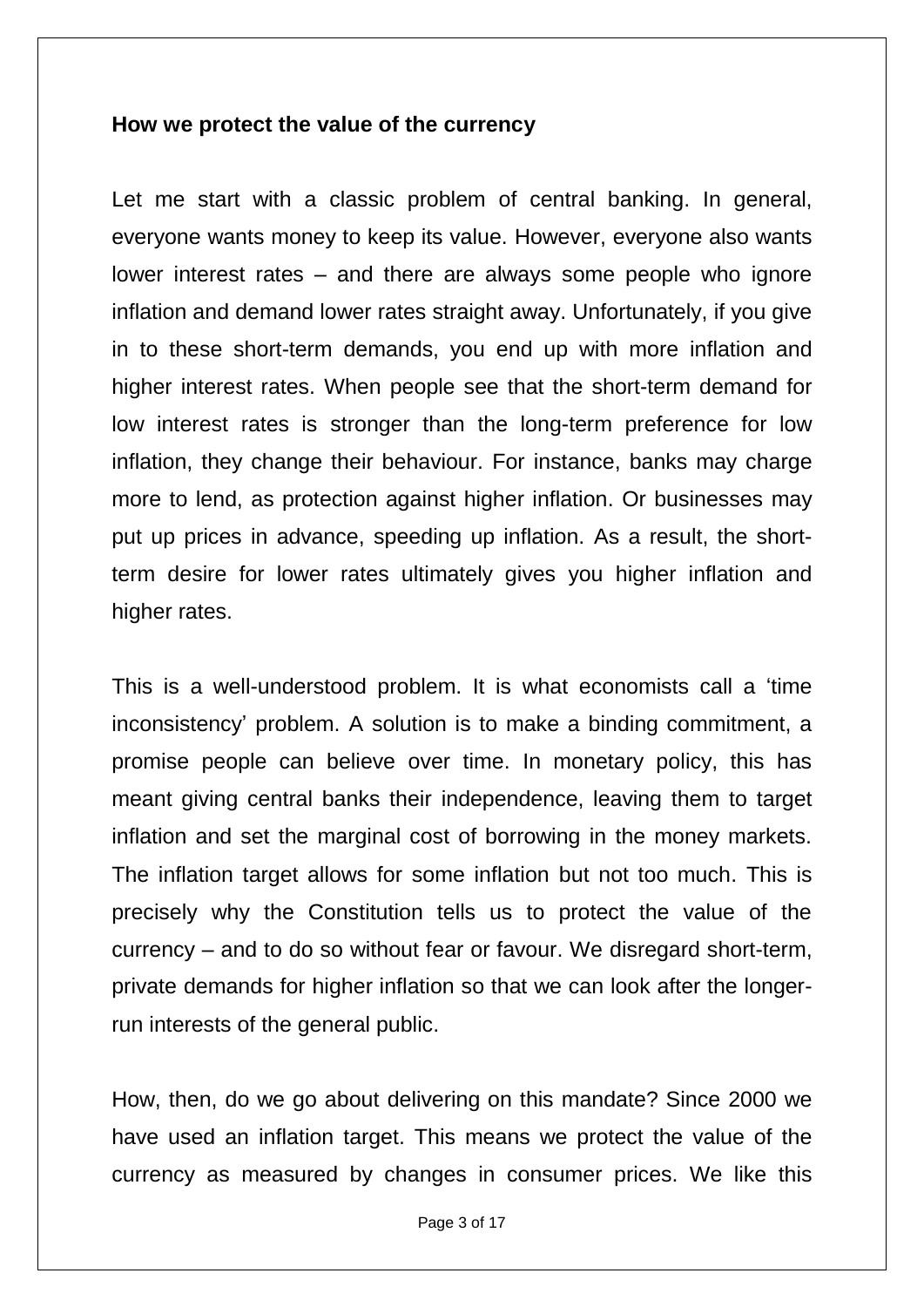### **How we protect the value of the currency**

Let me start with a classic problem of central banking. In general, everyone wants money to keep its value. However, everyone also wants lower interest rates – and there are always some people who ignore inflation and demand lower rates straight away. Unfortunately, if you give in to these short-term demands, you end up with more inflation and higher interest rates. When people see that the short-term demand for low interest rates is stronger than the long-term preference for low inflation, they change their behaviour. For instance, banks may charge more to lend, as protection against higher inflation. Or businesses may put up prices in advance, speeding up inflation. As a result, the shortterm desire for lower rates ultimately gives you higher inflation and higher rates.

This is a well-understood problem. It is what economists call a "time inconsistency" problem. A solution is to make a binding commitment, a promise people can believe over time. In monetary policy, this has meant giving central banks their independence, leaving them to target inflation and set the marginal cost of borrowing in the money markets. The inflation target allows for some inflation but not too much. This is precisely why the Constitution tells us to protect the value of the currency – and to do so without fear or favour. We disregard short-term, private demands for higher inflation so that we can look after the longerrun interests of the general public.

How, then, do we go about delivering on this mandate? Since 2000 we have used an inflation target. This means we protect the value of the currency as measured by changes in consumer prices. We like this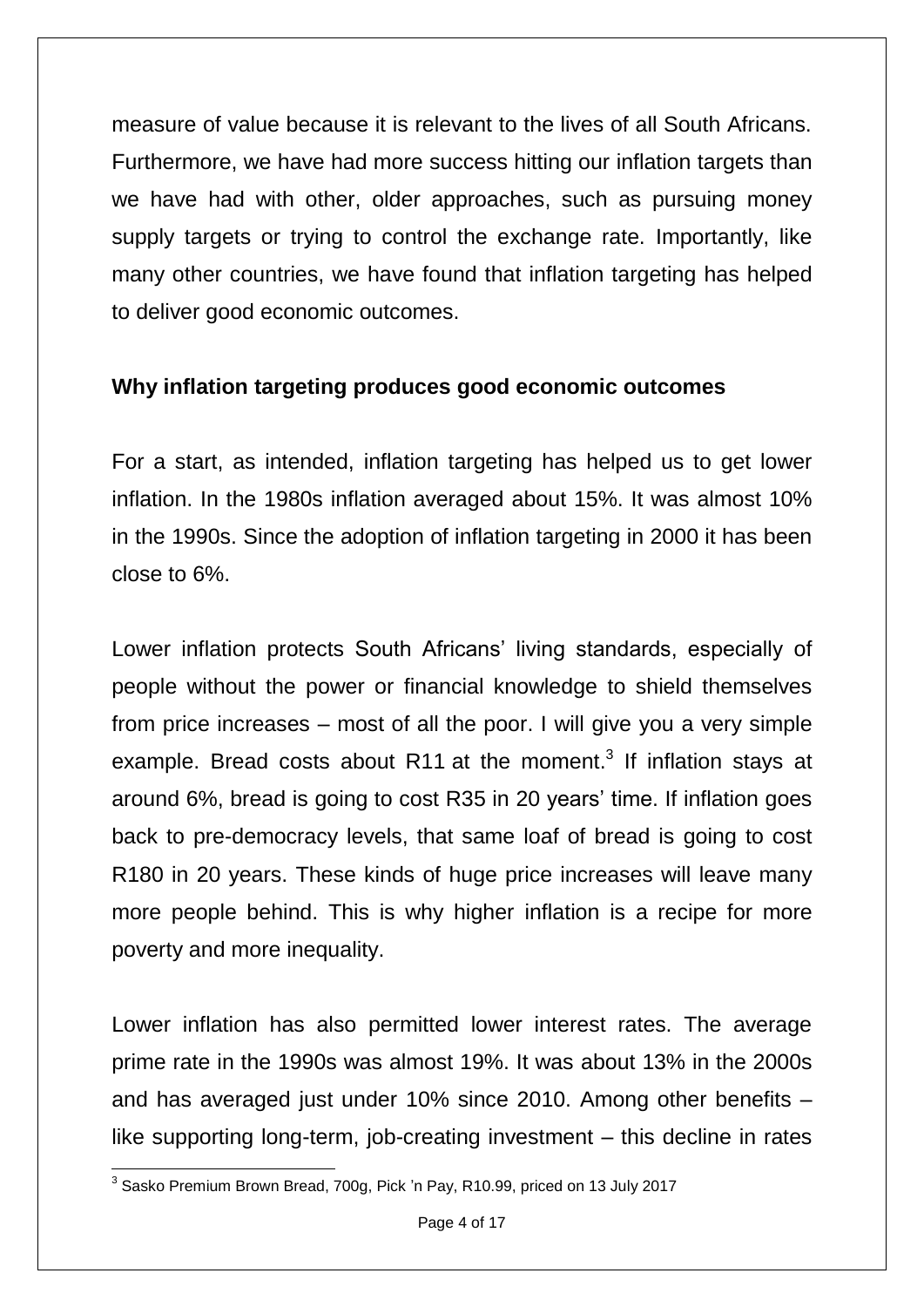measure of value because it is relevant to the lives of all South Africans. Furthermore, we have had more success hitting our inflation targets than we have had with other, older approaches, such as pursuing money supply targets or trying to control the exchange rate. Importantly, like many other countries, we have found that inflation targeting has helped to deliver good economic outcomes.

# **Why inflation targeting produces good economic outcomes**

For a start, as intended, inflation targeting has helped us to get lower inflation. In the 1980s inflation averaged about 15%. It was almost 10% in the 1990s. Since the adoption of inflation targeting in 2000 it has been close to 6%.

Lower inflation protects South Africans' living standards, especially of people without the power or financial knowledge to shield themselves from price increases – most of all the poor. I will give you a very simple example. Bread costs about R11 at the moment.<sup>3</sup> If inflation stays at around 6%, bread is going to cost R35 in 20 years" time. If inflation goes back to pre-democracy levels, that same loaf of bread is going to cost R180 in 20 years. These kinds of huge price increases will leave many more people behind. This is why higher inflation is a recipe for more poverty and more inequality.

Lower inflation has also permitted lower interest rates. The average prime rate in the 1990s was almost 19%. It was about 13% in the 2000s and has averaged just under 10% since 2010. Among other benefits – like supporting long-term, job-creating investment – this decline in rates

 3 Sasko Premium Brown Bread, 700g, Pick "n Pay, R10.99, priced on 13 July 2017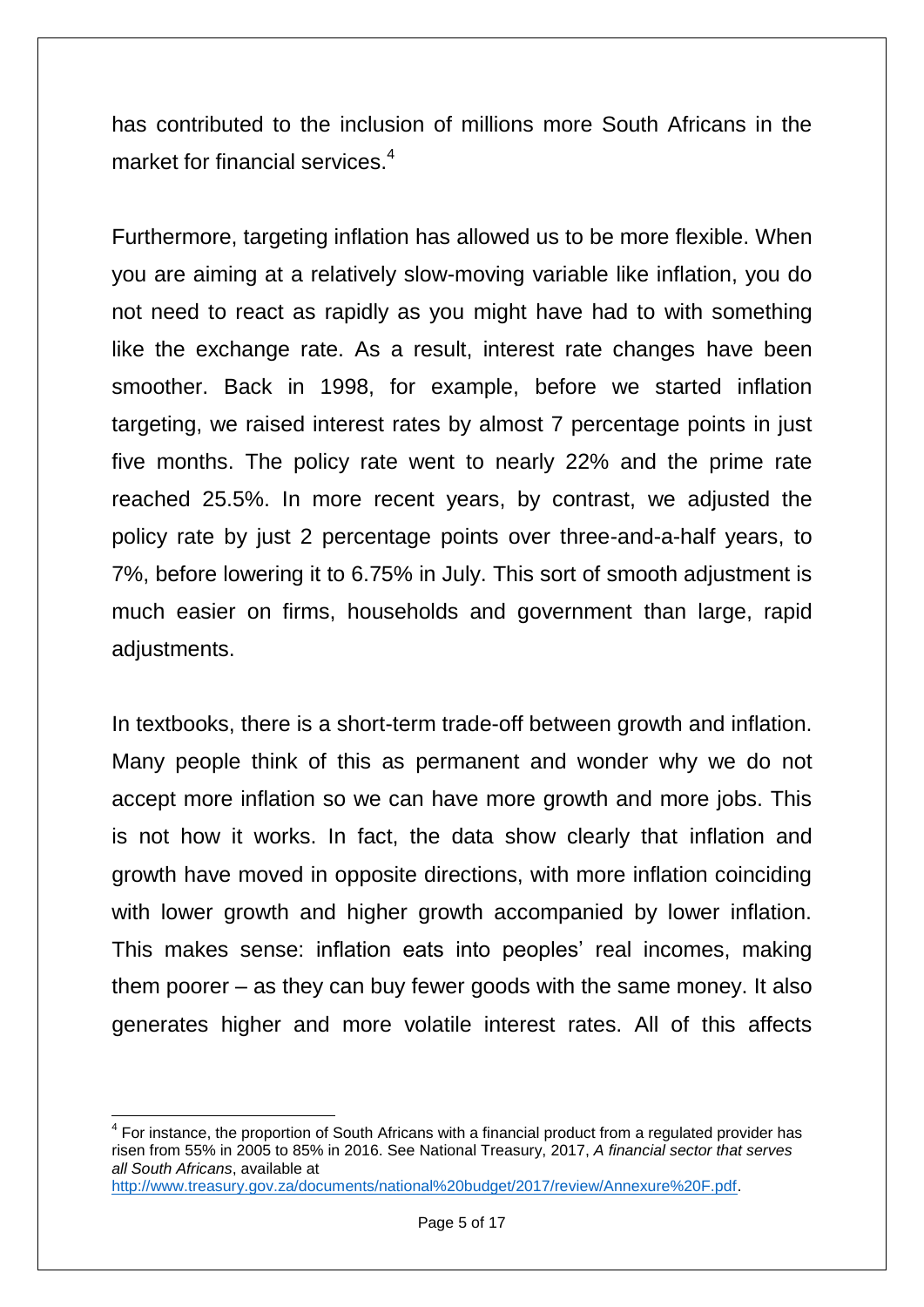has contributed to the inclusion of millions more South Africans in the market for financial services.<sup>4</sup>

Furthermore, targeting inflation has allowed us to be more flexible. When you are aiming at a relatively slow-moving variable like inflation, you do not need to react as rapidly as you might have had to with something like the exchange rate. As a result, interest rate changes have been smoother. Back in 1998, for example, before we started inflation targeting, we raised interest rates by almost 7 percentage points in just five months. The policy rate went to nearly 22% and the prime rate reached 25.5%. In more recent years, by contrast, we adjusted the policy rate by just 2 percentage points over three-and-a-half years, to 7%, before lowering it to 6.75% in July. This sort of smooth adjustment is much easier on firms, households and government than large, rapid adjustments.

In textbooks, there is a short-term trade-off between growth and inflation. Many people think of this as permanent and wonder why we do not accept more inflation so we can have more growth and more jobs. This is not how it works. In fact, the data show clearly that inflation and growth have moved in opposite directions, with more inflation coinciding with lower growth and higher growth accompanied by lower inflation. This makes sense: inflation eats into peoples' real incomes, making them poorer – as they can buy fewer goods with the same money. It also generates higher and more volatile interest rates. All of this affects

**.** 

<sup>&</sup>lt;sup>4</sup> For instance, the proportion of South Africans with a financial product from a regulated provider has risen from 55% in 2005 to 85% in 2016. See National Treasury, 2017, *A financial sector that serves all South Africans*, available at

[http://www.treasury.gov.za/documents/national%20budget/2017/review/Annexure%20F.pdf.](http://www.treasury.gov.za/documents/national%20budget/2017/review/Annexure%20F.pdf)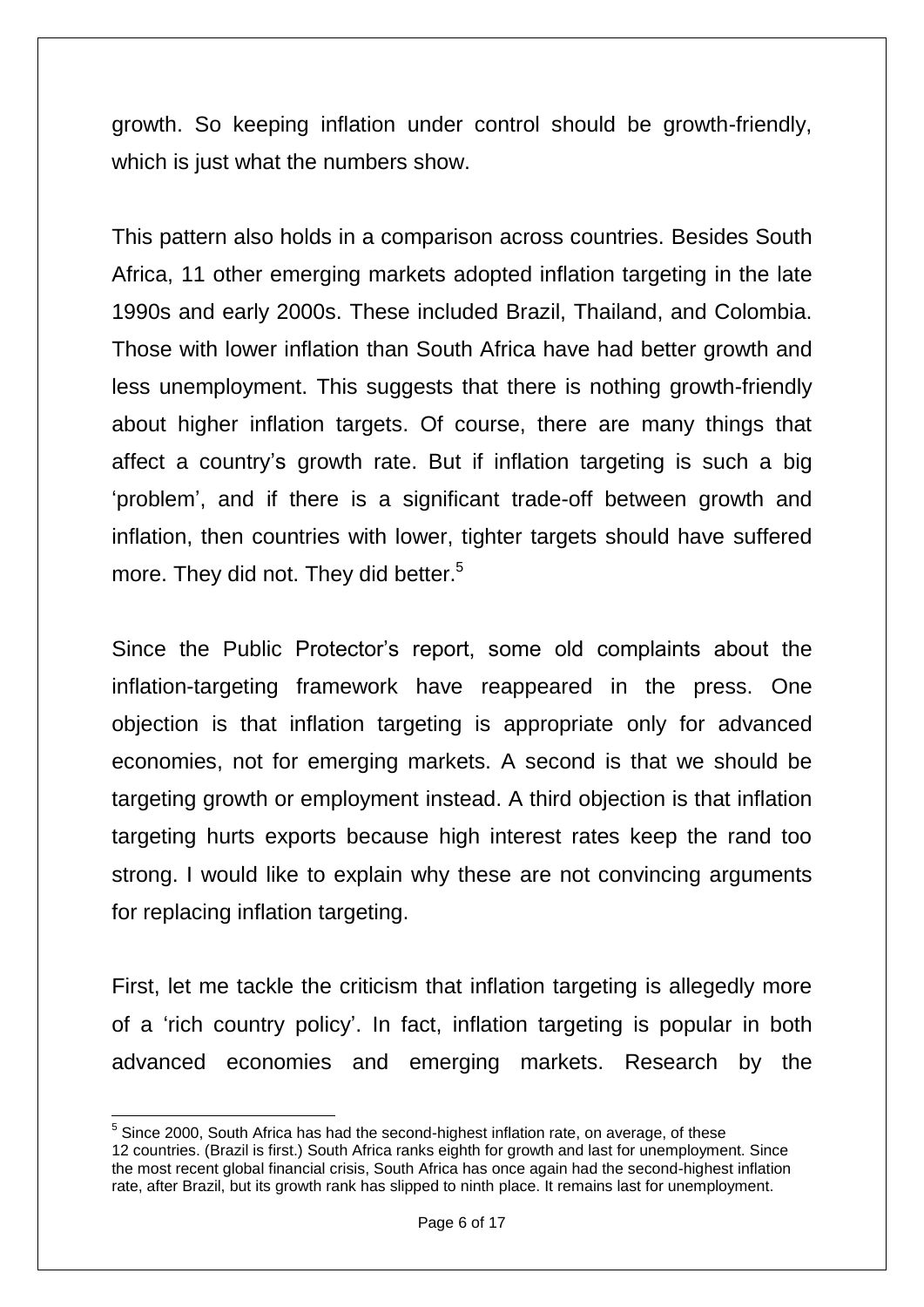growth. So keeping inflation under control should be growth-friendly, which is just what the numbers show.

This pattern also holds in a comparison across countries. Besides South Africa, 11 other emerging markets adopted inflation targeting in the late 1990s and early 2000s. These included Brazil, Thailand, and Colombia. Those with lower inflation than South Africa have had better growth and less unemployment. This suggests that there is nothing growth-friendly about higher inflation targets. Of course, there are many things that affect a country"s growth rate. But if inflation targeting is such a big "problem", and if there is a significant trade-off between growth and inflation, then countries with lower, tighter targets should have suffered more. They did not. They did better.<sup>5</sup>

Since the Public Protector"s report, some old complaints about the inflation-targeting framework have reappeared in the press. One objection is that inflation targeting is appropriate only for advanced economies, not for emerging markets. A second is that we should be targeting growth or employment instead. A third objection is that inflation targeting hurts exports because high interest rates keep the rand too strong. I would like to explain why these are not convincing arguments for replacing inflation targeting.

First, let me tackle the criticism that inflation targeting is allegedly more of a "rich country policy". In fact, inflation targeting is popular in both advanced economies and emerging markets. Research by the

**<sup>.</sup>** <sup>5</sup> Since 2000, South Africa has had the second-highest inflation rate, on average, of these 12 countries. (Brazil is first.) South Africa ranks eighth for growth and last for unemployment. Since the most recent global financial crisis, South Africa has once again had the second-highest inflation rate, after Brazil, but its growth rank has slipped to ninth place. It remains last for unemployment.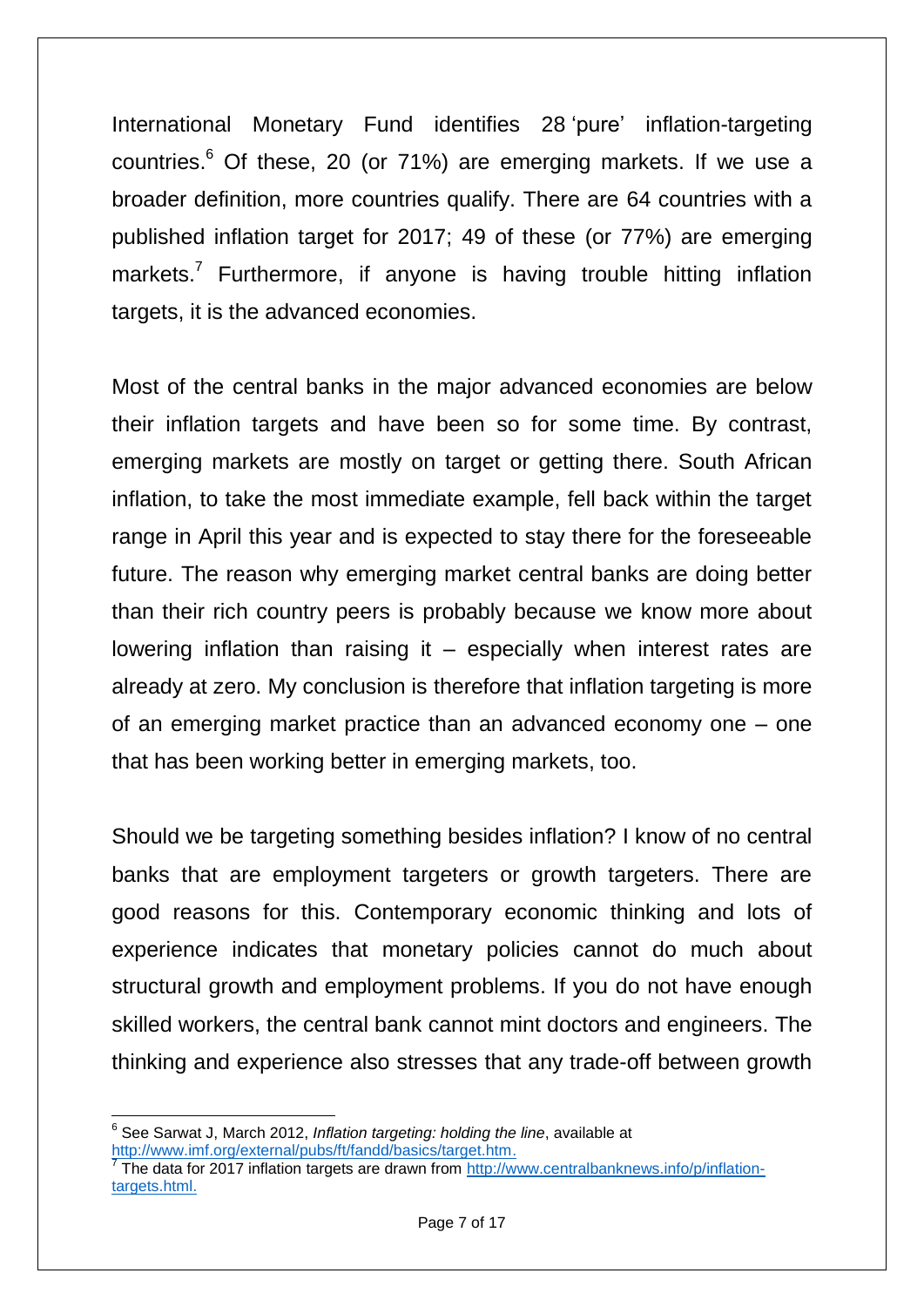International Monetary Fund identifies 28 pure' inflation-targeting countries. <sup>6</sup> Of these, 20 (or 71%) are emerging markets. If we use a broader definition, more countries qualify. There are 64 countries with a published inflation target for 2017; 49 of these (or 77%) are emerging markets.<sup>7</sup> Furthermore, if anyone is having trouble hitting inflation targets, it is the advanced economies.

Most of the central banks in the major advanced economies are below their inflation targets and have been so for some time. By contrast, emerging markets are mostly on target or getting there. South African inflation, to take the most immediate example, fell back within the target range in April this year and is expected to stay there for the foreseeable future. The reason why emerging market central banks are doing better than their rich country peers is probably because we know more about lowering inflation than raising it  $-$  especially when interest rates are already at zero. My conclusion is therefore that inflation targeting is more of an emerging market practice than an advanced economy one – one that has been working better in emerging markets, too.

Should we be targeting something besides inflation? I know of no central banks that are employment targeters or growth targeters. There are good reasons for this. Contemporary economic thinking and lots of experience indicates that monetary policies cannot do much about structural growth and employment problems. If you do not have enough skilled workers, the central bank cannot mint doctors and engineers. The thinking and experience also stresses that any trade-off between growth

 6 See Sarwat J, March 2012, *Inflation targeting: holding the line*, available at [http://www.imf.org/external/pubs/ft/fandd/basics/target.htm.](http://www.imf.org/external/pubs/ft/fandd/basics/target.htm)

<sup>&</sup>lt;sup>7</sup> The data for 2017 inflation targets are drawn from [http://www.centralbanknews.info/p/inflation](http://www.centralbanknews.info/p/inflation-targets.html)[targets.html.](http://www.centralbanknews.info/p/inflation-targets.html)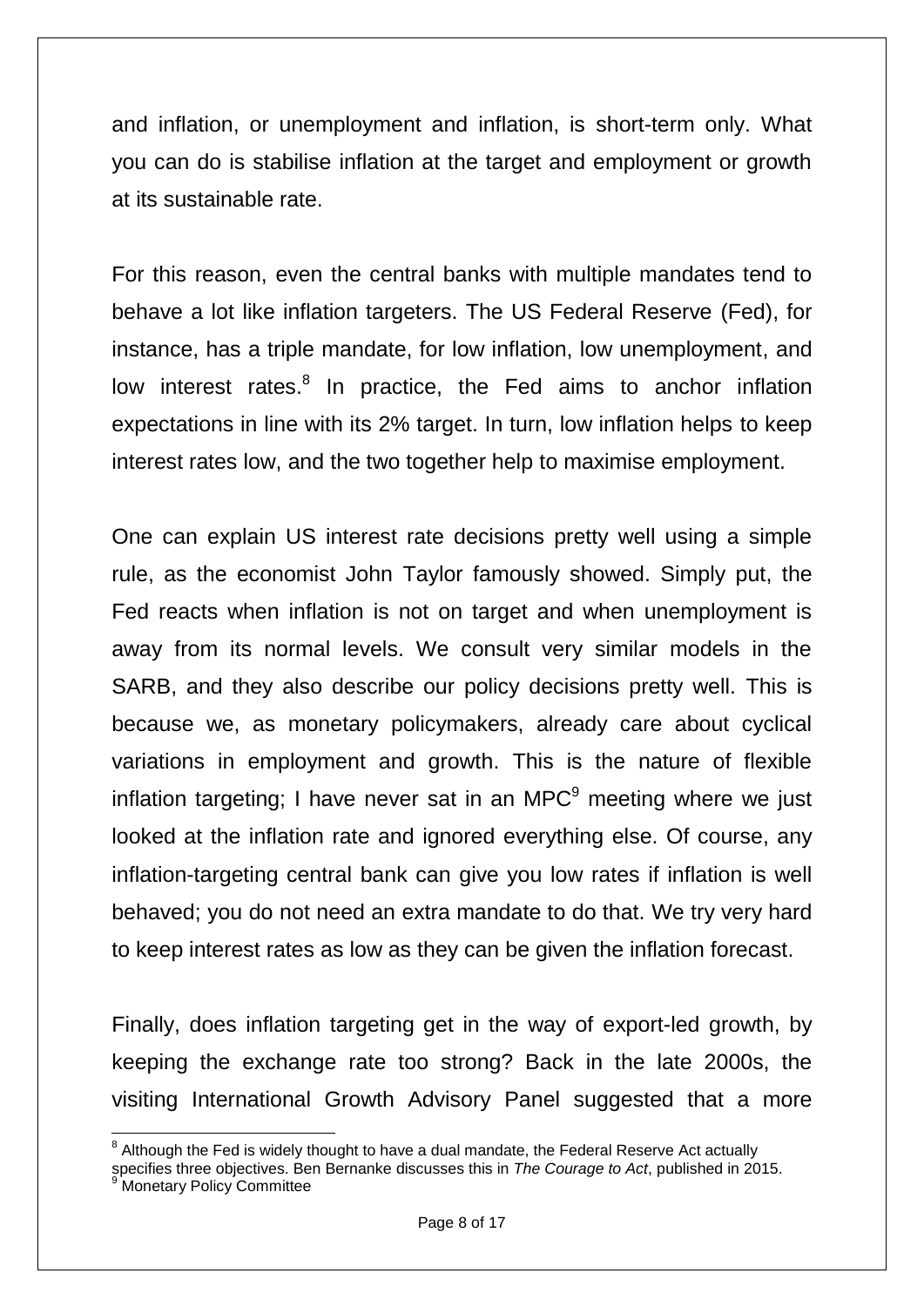and inflation, or unemployment and inflation, is short-term only. What you can do is stabilise inflation at the target and employment or growth at its sustainable rate.

For this reason, even the central banks with multiple mandates tend to behave a lot like inflation targeters. The US Federal Reserve (Fed), for instance, has a triple mandate, for low inflation, low unemployment, and low interest rates.<sup>8</sup> In practice, the Fed aims to anchor inflation expectations in line with its 2% target. In turn, low inflation helps to keep interest rates low, and the two together help to maximise employment.

One can explain US interest rate decisions pretty well using a simple rule, as the economist John Taylor famously showed. Simply put, the Fed reacts when inflation is not on target and when unemployment is away from its normal levels. We consult very similar models in the SARB, and they also describe our policy decisions pretty well. This is because we, as monetary policymakers, already care about cyclical variations in employment and growth. This is the nature of flexible inflation targeting; I have never sat in an MPC $<sup>9</sup>$  meeting where we just</sup> looked at the inflation rate and ignored everything else. Of course, any inflation-targeting central bank can give you low rates if inflation is well behaved; you do not need an extra mandate to do that. We try very hard to keep interest rates as low as they can be given the inflation forecast.

Finally, does inflation targeting get in the way of export-led growth, by keeping the exchange rate too strong? Back in the late 2000s, the visiting International Growth Advisory Panel suggested that a more

 $\overline{\phantom{a}}$  $8$  Although the Fed is widely thought to have a dual mandate, the Federal Reserve Act actually

specifies three objectives. Ben Bernanke discusses this in *The Courage to Act*, published in 2015. Monetary Policy Committee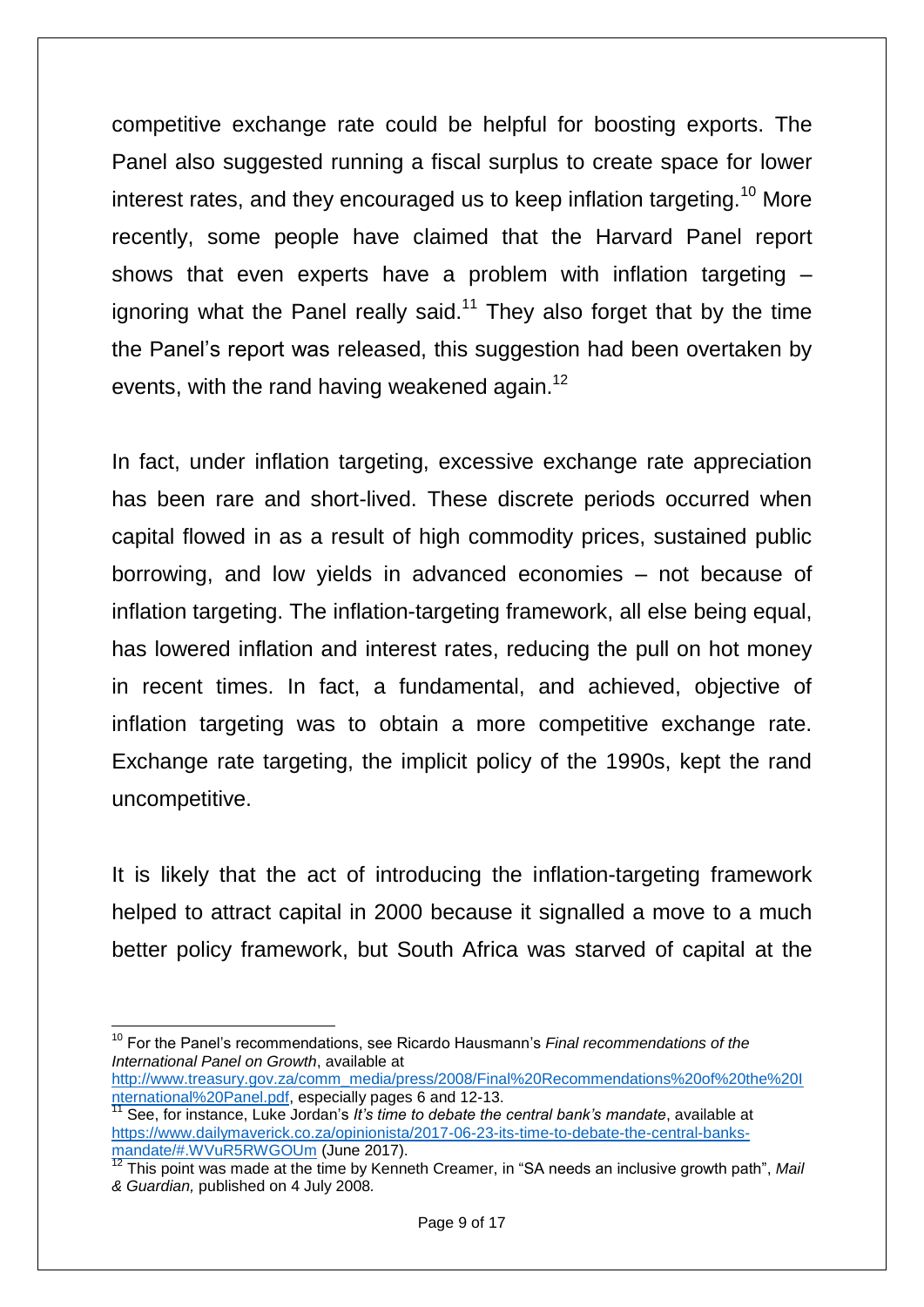competitive exchange rate could be helpful for boosting exports. The Panel also suggested running a fiscal surplus to create space for lower interest rates, and they encouraged us to keep inflation targeting.<sup>10</sup> More recently, some people have claimed that the Harvard Panel report shows that even experts have a problem with inflation targeting – ignoring what the Panel really said.<sup>11</sup> They also forget that by the time the Panel"s report was released, this suggestion had been overtaken by events, with the rand having weakened again.<sup>12</sup>

In fact, under inflation targeting, excessive exchange rate appreciation has been rare and short-lived. These discrete periods occurred when capital flowed in as a result of high commodity prices, sustained public borrowing, and low yields in advanced economies – not because of inflation targeting. The inflation-targeting framework, all else being equal, has lowered inflation and interest rates, reducing the pull on hot money in recent times. In fact, a fundamental, and achieved, objective of inflation targeting was to obtain a more competitive exchange rate. Exchange rate targeting, the implicit policy of the 1990s, kept the rand uncompetitive.

It is likely that the act of introducing the inflation-targeting framework helped to attract capital in 2000 because it signalled a move to a much better policy framework, but South Africa was starved of capital at the

 $\overline{a}$ <sup>10</sup> For the Panel's recommendations, see Ricardo Hausmann's *Final recommendations of the International Panel on Growth*, available at

[http://www.treasury.gov.za/comm\\_media/press/2008/Final%20Recommendations%20of%20the%20I](http://www.treasury.gov.za/comm_media/press/2008/Final%20Recommendations%20of%20the%20International%20Panel.pdf) [nternational%20Panel.pdf,](http://www.treasury.gov.za/comm_media/press/2008/Final%20Recommendations%20of%20the%20International%20Panel.pdf) especially pages 6 and 12-13.

<sup>&</sup>lt;sup>11</sup> See, for instance, Luke Jordan's *It's time to debate the central bank's mandate*, available at [https://www.dailymaverick.co.za/opinionista/2017-06-23-its-time-to-debate-the-central-banks](https://www.dailymaverick.co.za/opinionista/2017-06-23-its-time-to-debate-the-central-banks-mandate/#.WVuR5RWGOUm)[mandate/#.WVuR5RWGOUm](https://www.dailymaverick.co.za/opinionista/2017-06-23-its-time-to-debate-the-central-banks-mandate/#.WVuR5RWGOUm) (June 2017).

<sup>12</sup> This point was made at the time by Kenneth Creamer, in "SA needs an inclusive growth path", Mail *& Guardian,* published on 4 July 2008*.*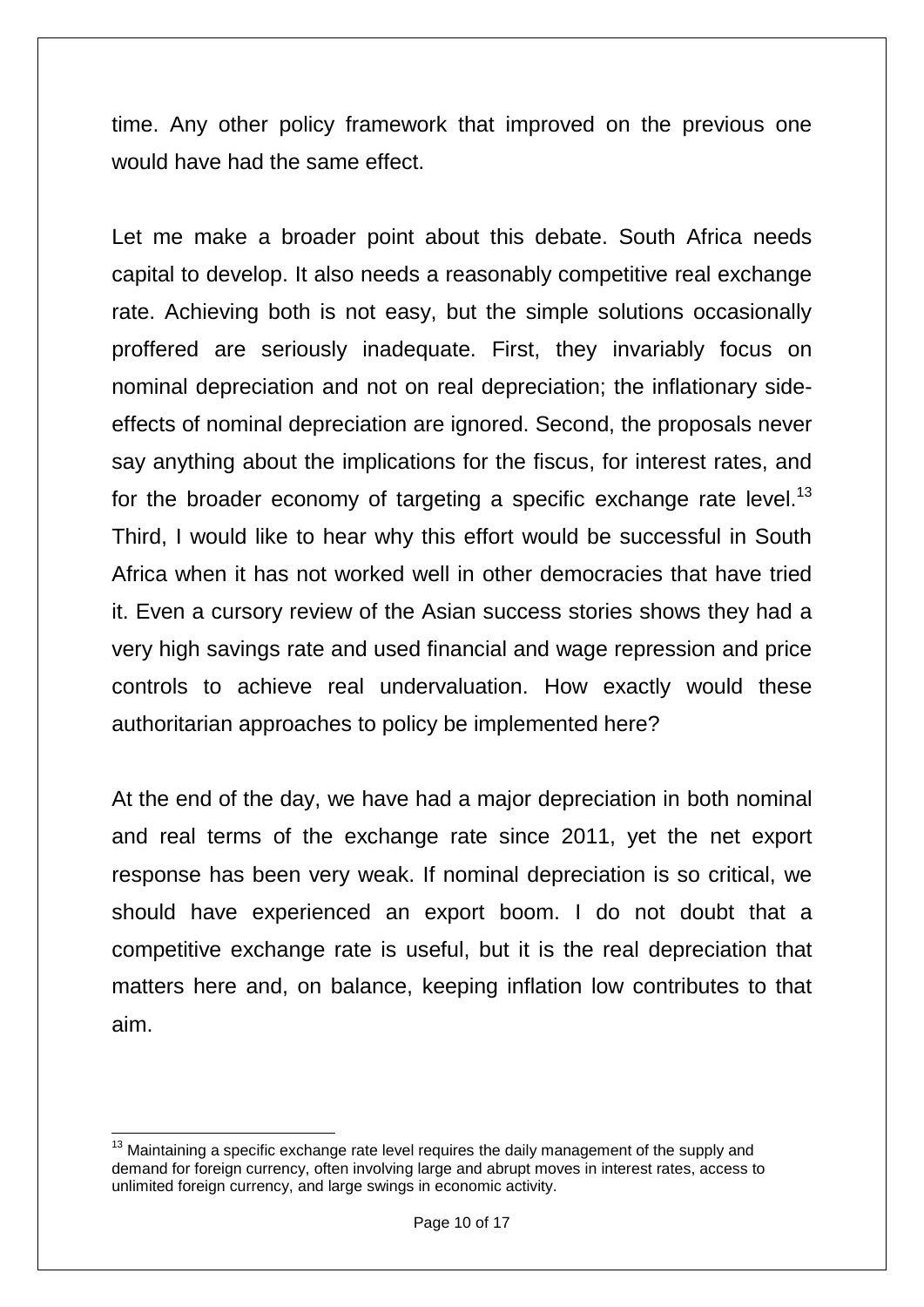time. Any other policy framework that improved on the previous one would have had the same effect.

Let me make a broader point about this debate. South Africa needs capital to develop. It also needs a reasonably competitive real exchange rate. Achieving both is not easy, but the simple solutions occasionally proffered are seriously inadequate. First, they invariably focus on nominal depreciation and not on real depreciation; the inflationary sideeffects of nominal depreciation are ignored. Second, the proposals never say anything about the implications for the fiscus, for interest rates, and for the broader economy of targeting a specific exchange rate level.<sup>13</sup> Third, I would like to hear why this effort would be successful in South Africa when it has not worked well in other democracies that have tried it. Even a cursory review of the Asian success stories shows they had a very high savings rate and used financial and wage repression and price controls to achieve real undervaluation. How exactly would these authoritarian approaches to policy be implemented here?

At the end of the day, we have had a major depreciation in both nominal and real terms of the exchange rate since 2011, yet the net export response has been very weak. If nominal depreciation is so critical, we should have experienced an export boom. I do not doubt that a competitive exchange rate is useful, but it is the real depreciation that matters here and, on balance, keeping inflation low contributes to that aim.

 $\overline{\phantom{a}}$  $13$  Maintaining a specific exchange rate level requires the daily management of the supply and demand for foreign currency, often involving large and abrupt moves in interest rates, access to unlimited foreign currency, and large swings in economic activity.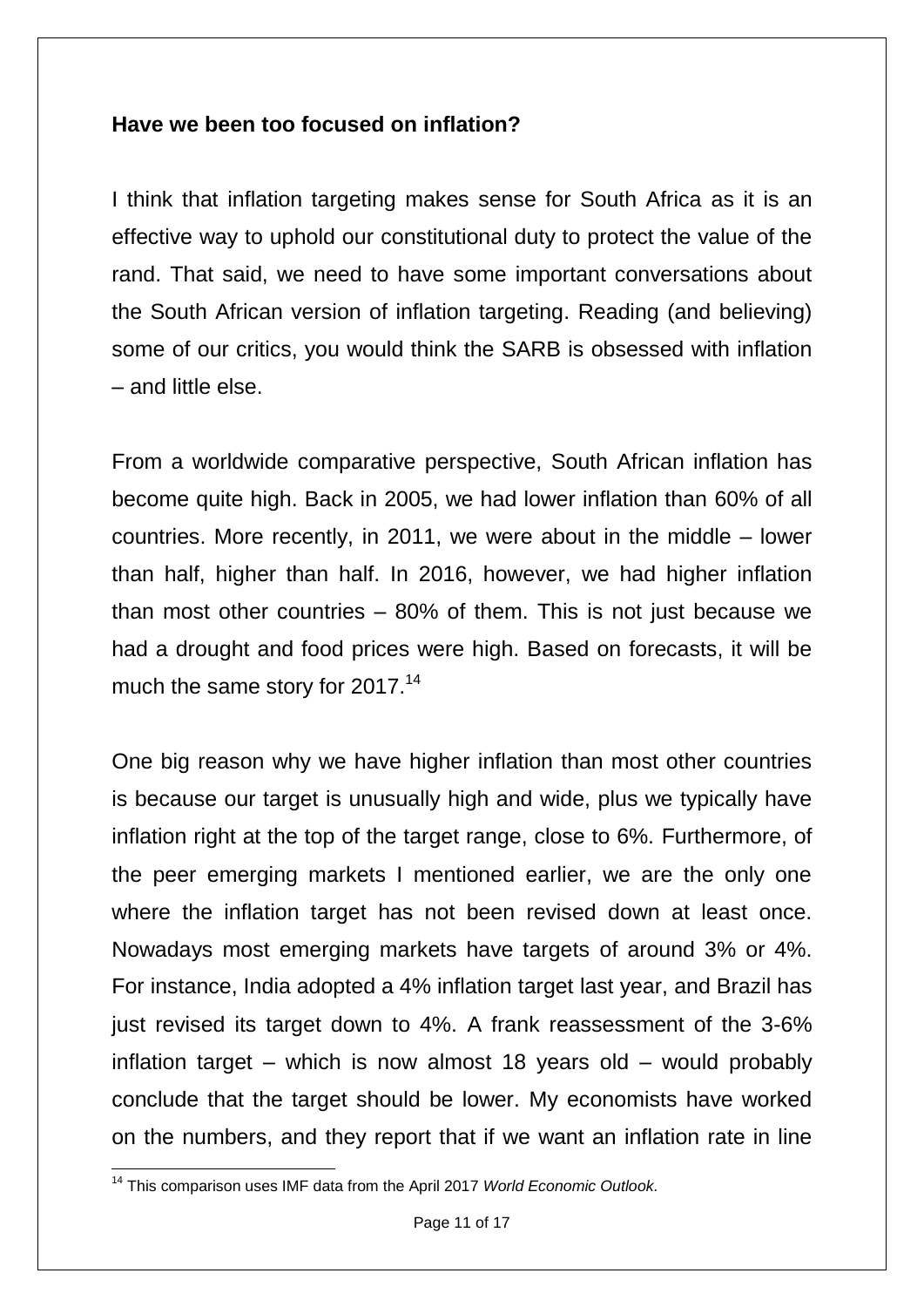# **Have we been too focused on inflation?**

I think that inflation targeting makes sense for South Africa as it is an effective way to uphold our constitutional duty to protect the value of the rand. That said, we need to have some important conversations about the South African version of inflation targeting. Reading (and believing) some of our critics, you would think the SARB is obsessed with inflation – and little else.

From a worldwide comparative perspective, South African inflation has become quite high. Back in 2005, we had lower inflation than 60% of all countries. More recently, in 2011, we were about in the middle – lower than half, higher than half. In 2016, however, we had higher inflation than most other countries  $-80\%$  of them. This is not just because we had a drought and food prices were high. Based on forecasts, it will be much the same story for 2017.<sup>14</sup>

One big reason why we have higher inflation than most other countries is because our target is unusually high and wide, plus we typically have inflation right at the top of the target range, close to 6%. Furthermore, of the peer emerging markets I mentioned earlier, we are the only one where the inflation target has not been revised down at least once. Nowadays most emerging markets have targets of around 3% or 4%. For instance, India adopted a 4% inflation target last year, and Brazil has just revised its target down to 4%. A frank reassessment of the 3-6% inflation target – which is now almost 18 years old – would probably conclude that the target should be lower. My economists have worked on the numbers, and they report that if we want an inflation rate in line

 $\overline{\phantom{a}}$ <sup>14</sup> This comparison uses IMF data from the April 2017 *World Economic Outlook.*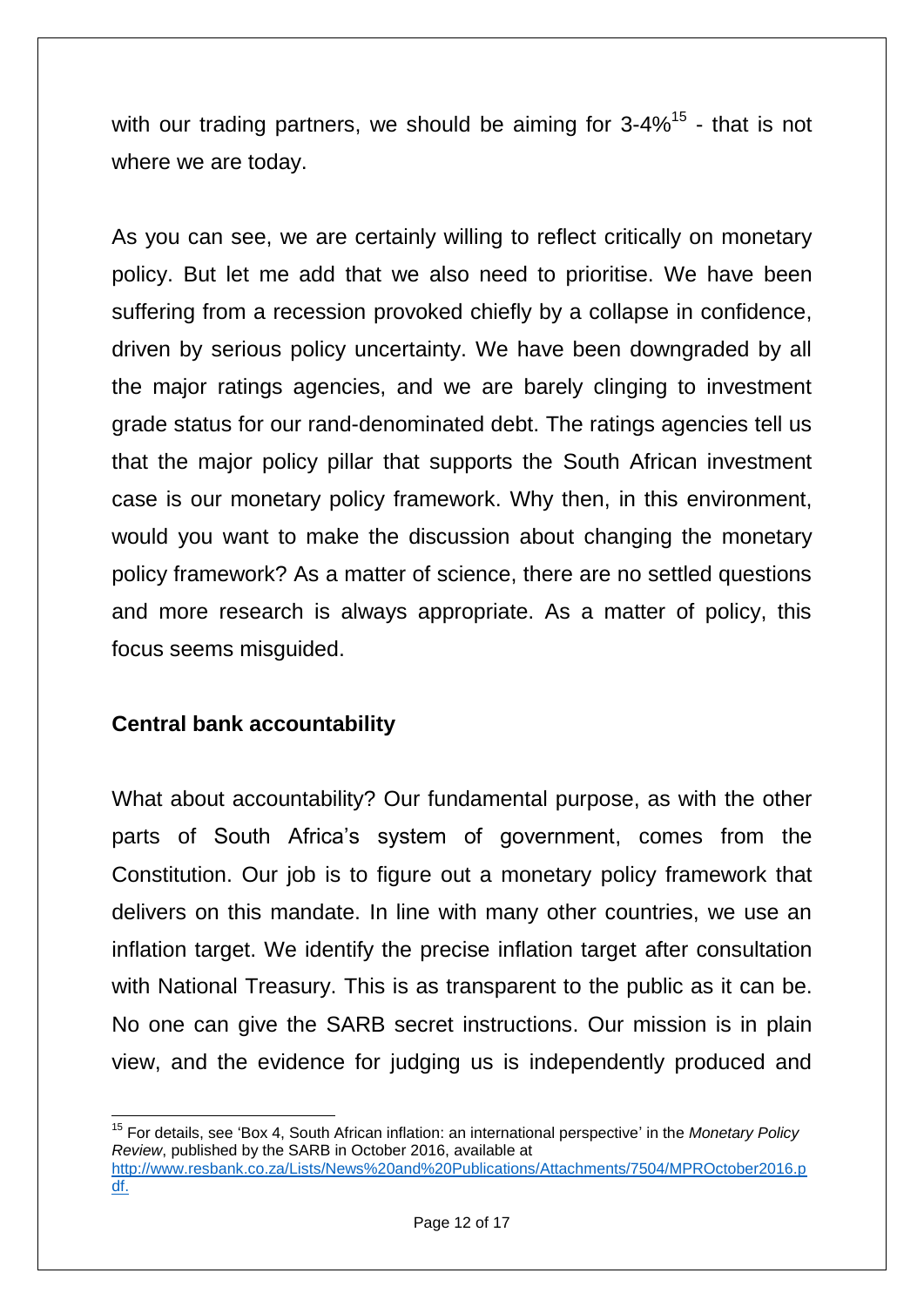with our trading partners, we should be aiming for  $3\text{-}4\%$ <sup>15</sup> - that is not where we are today.

As you can see, we are certainly willing to reflect critically on monetary policy. But let me add that we also need to prioritise. We have been suffering from a recession provoked chiefly by a collapse in confidence, driven by serious policy uncertainty. We have been downgraded by all the major ratings agencies, and we are barely clinging to investment grade status for our rand-denominated debt. The ratings agencies tell us that the major policy pillar that supports the South African investment case is our monetary policy framework. Why then, in this environment, would you want to make the discussion about changing the monetary policy framework? As a matter of science, there are no settled questions and more research is always appropriate. As a matter of policy, this focus seems misguided.

# **Central bank accountability**

What about accountability? Our fundamental purpose, as with the other parts of South Africa"s system of government, comes from the Constitution. Our job is to figure out a monetary policy framework that delivers on this mandate. In line with many other countries, we use an inflation target. We identify the precise inflation target after consultation with National Treasury. This is as transparent to the public as it can be. No one can give the SARB secret instructions. Our mission is in plain view, and the evidence for judging us is independently produced and

**<sup>.</sup>** <sup>15</sup> For details, see 'Box 4, South African inflation: an international perspective' in the *Monetary Policy Review*, published by the SARB in October 2016, available at

[http://www.resbank.co.za/Lists/News%20and%20Publications/Attachments/7504/MPROctober2016.p](https://www.resbank.co.za/Lists/News%20and%20Publications/Attachments/7504/MPROctober2016.pdf) [df.](https://www.resbank.co.za/Lists/News%20and%20Publications/Attachments/7504/MPROctober2016.pdf)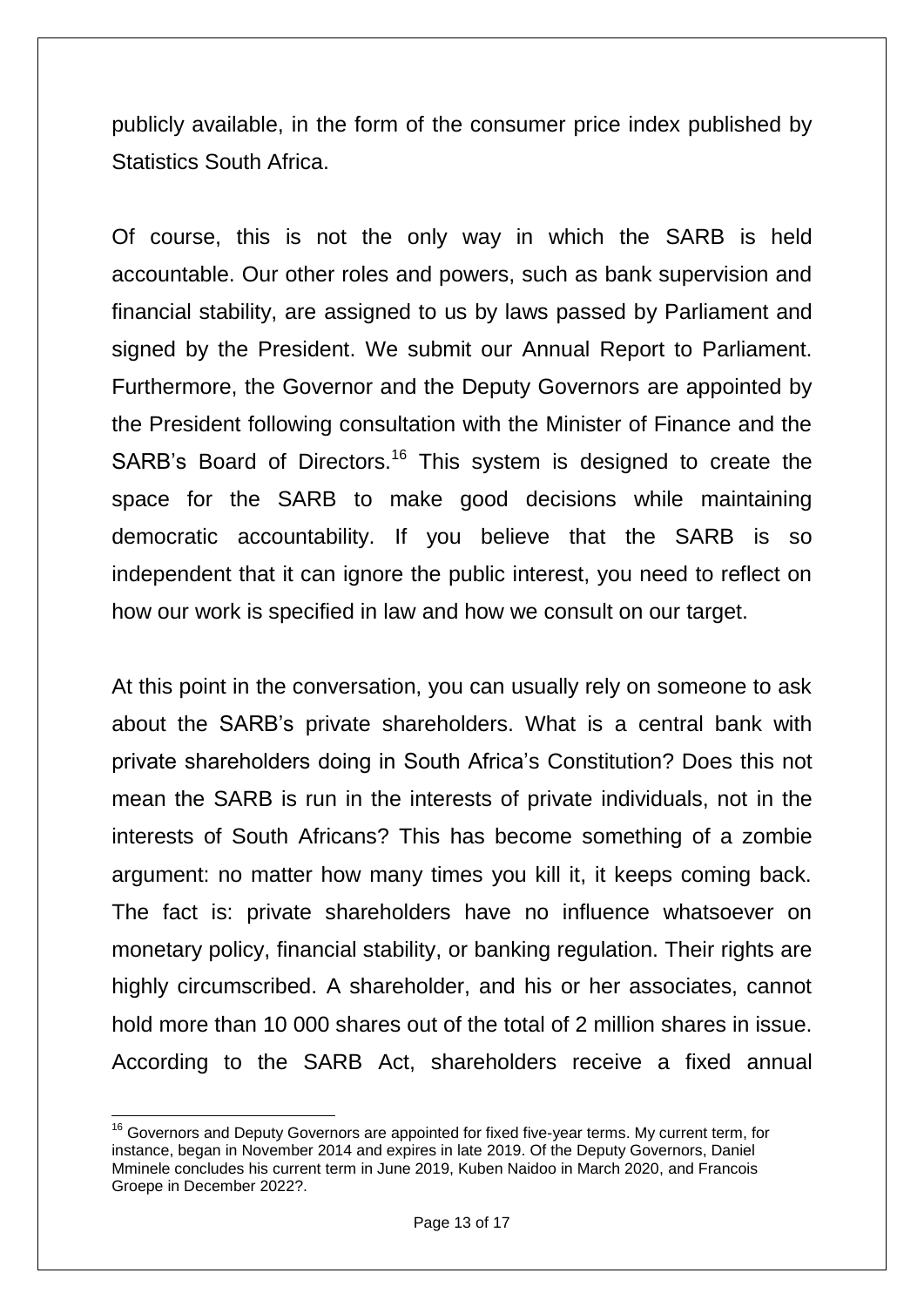publicly available, in the form of the consumer price index published by Statistics South Africa.

Of course, this is not the only way in which the SARB is held accountable. Our other roles and powers, such as bank supervision and financial stability, are assigned to us by laws passed by Parliament and signed by the President. We submit our Annual Report to Parliament. Furthermore, the Governor and the Deputy Governors are appointed by the President following consultation with the Minister of Finance and the SARB's Board of Directors.<sup>16</sup> This system is designed to create the space for the SARB to make good decisions while maintaining democratic accountability. If you believe that the SARB is so independent that it can ignore the public interest, you need to reflect on how our work is specified in law and how we consult on our target.

At this point in the conversation, you can usually rely on someone to ask about the SARB"s private shareholders. What is a central bank with private shareholders doing in South Africa"s Constitution? Does this not mean the SARB is run in the interests of private individuals, not in the interests of South Africans? This has become something of a zombie argument: no matter how many times you kill it, it keeps coming back. The fact is: private shareholders have no influence whatsoever on monetary policy, financial stability, or banking regulation. Their rights are highly circumscribed. A shareholder, and his or her associates, cannot hold more than 10 000 shares out of the total of 2 million shares in issue. According to the SARB Act, shareholders receive a fixed annual

**<sup>.</sup>**  $16$  Governors and Deputy Governors are appointed for fixed five-year terms. My current term, for instance, began in November 2014 and expires in late 2019. Of the Deputy Governors, Daniel Mminele concludes his current term in June 2019, Kuben Naidoo in March 2020, and Francois Groepe in December 2022?.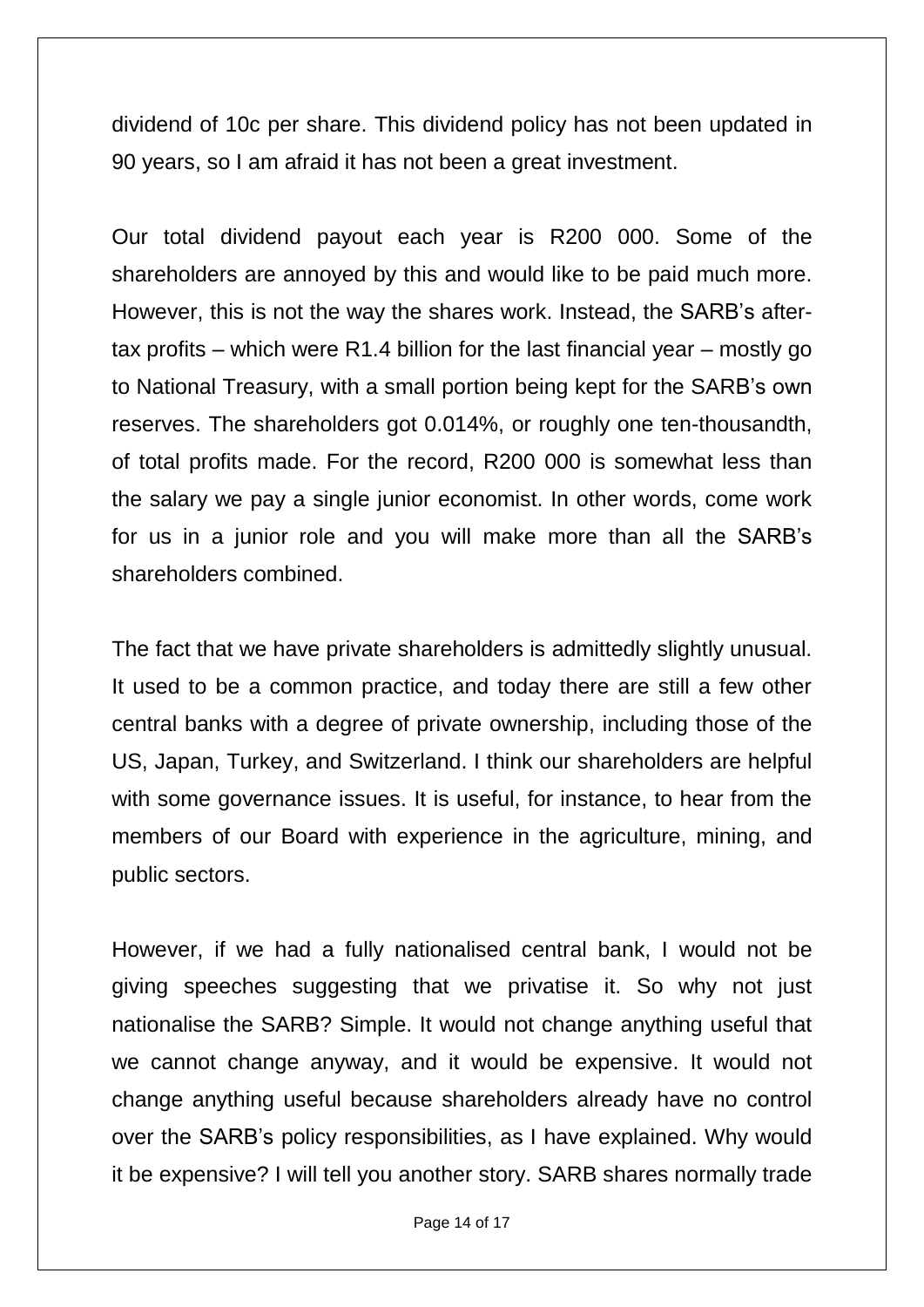dividend of 10c per share. This dividend policy has not been updated in 90 years, so I am afraid it has not been a great investment.

Our total dividend payout each year is R200 000. Some of the shareholders are annoyed by this and would like to be paid much more. However, this is not the way the shares work. Instead, the SARB"s aftertax profits – which were R1.4 billion for the last financial year – mostly go to National Treasury, with a small portion being kept for the SARB"s own reserves. The shareholders got 0.014%, or roughly one ten-thousandth, of total profits made. For the record, R200 000 is somewhat less than the salary we pay a single junior economist. In other words, come work for us in a junior role and you will make more than all the SARB"s shareholders combined.

The fact that we have private shareholders is admittedly slightly unusual. It used to be a common practice, and today there are still a few other central banks with a degree of private ownership, including those of the US, Japan, Turkey, and Switzerland. I think our shareholders are helpful with some governance issues. It is useful, for instance, to hear from the members of our Board with experience in the agriculture, mining, and public sectors.

However, if we had a fully nationalised central bank, I would not be giving speeches suggesting that we privatise it. So why not just nationalise the SARB? Simple. It would not change anything useful that we cannot change anyway, and it would be expensive. It would not change anything useful because shareholders already have no control over the SARB"s policy responsibilities, as I have explained. Why would it be expensive? I will tell you another story. SARB shares normally trade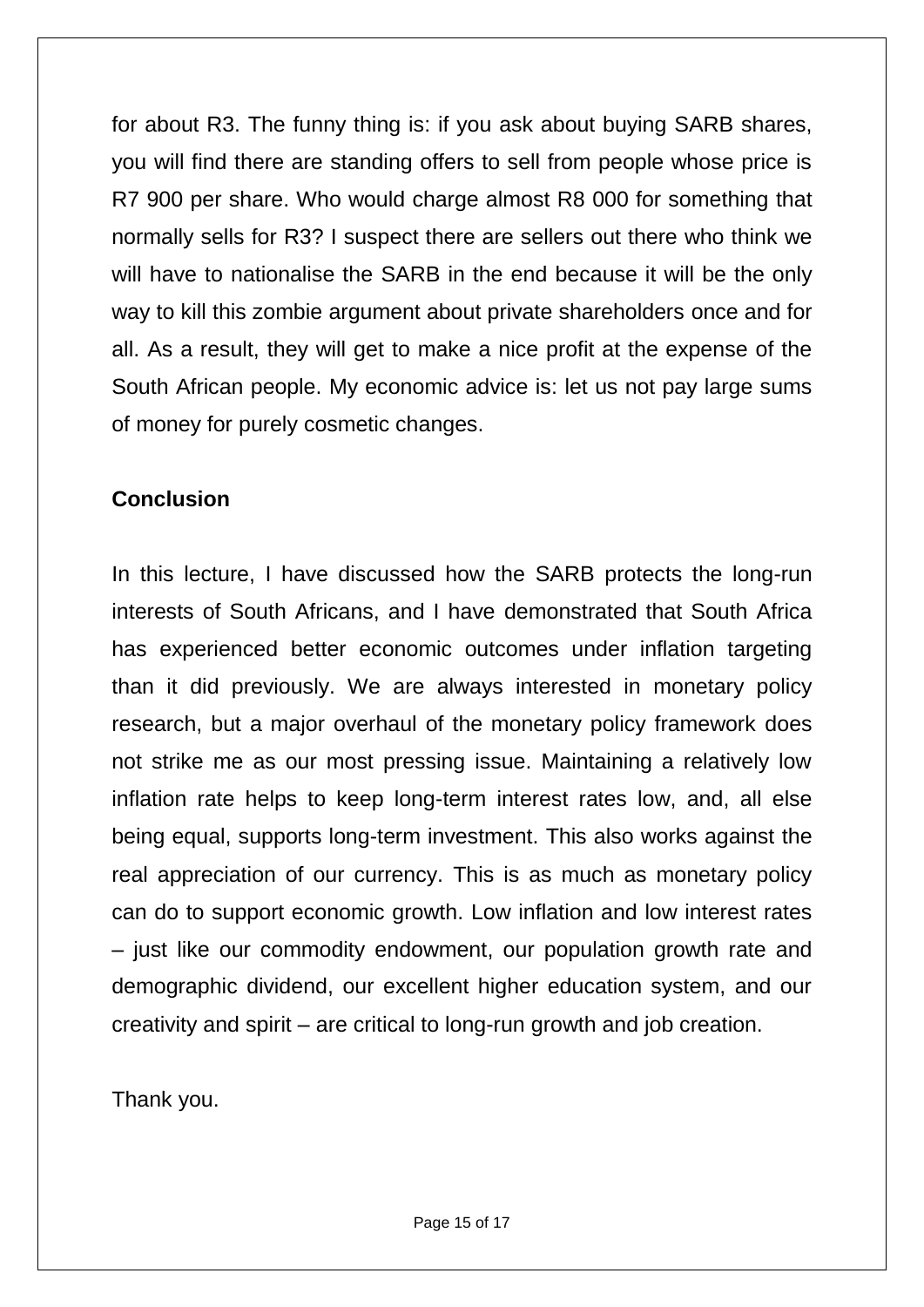for about R3. The funny thing is: if you ask about buying SARB shares, you will find there are standing offers to sell from people whose price is R7 900 per share. Who would charge almost R8 000 for something that normally sells for R3? I suspect there are sellers out there who think we will have to nationalise the SARB in the end because it will be the only way to kill this zombie argument about private shareholders once and for all. As a result, they will get to make a nice profit at the expense of the South African people. My economic advice is: let us not pay large sums of money for purely cosmetic changes.

# **Conclusion**

In this lecture, I have discussed how the SARB protects the long-run interests of South Africans, and I have demonstrated that South Africa has experienced better economic outcomes under inflation targeting than it did previously. We are always interested in monetary policy research, but a major overhaul of the monetary policy framework does not strike me as our most pressing issue. Maintaining a relatively low inflation rate helps to keep long-term interest rates low, and, all else being equal, supports long-term investment. This also works against the real appreciation of our currency. This is as much as monetary policy can do to support economic growth. Low inflation and low interest rates – just like our commodity endowment, our population growth rate and demographic dividend, our excellent higher education system, and our creativity and spirit – are critical to long-run growth and job creation.

Thank you.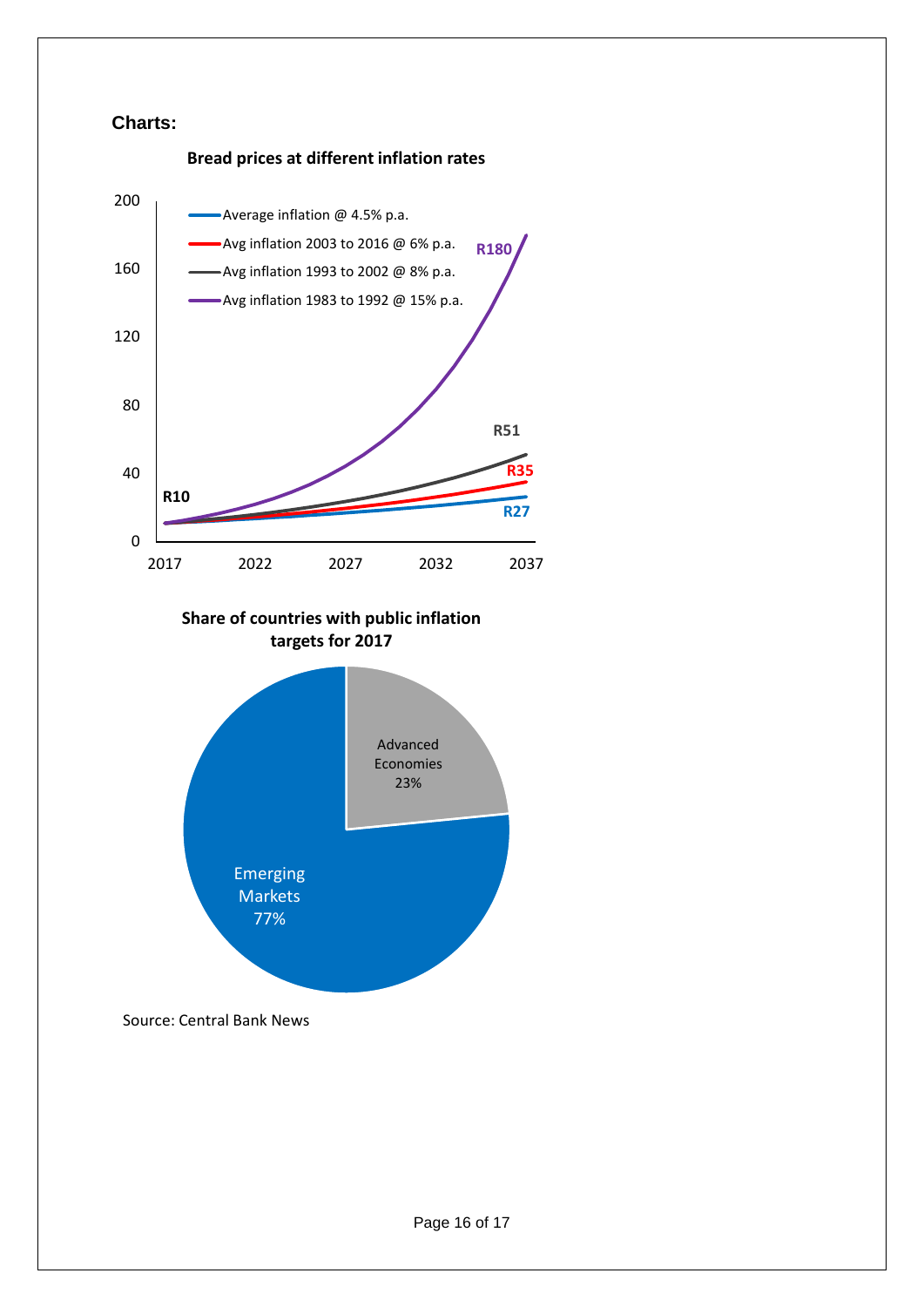#### **Charts:**



**Share of countries with public inflation targets for 2017**



Source: Central Bank News